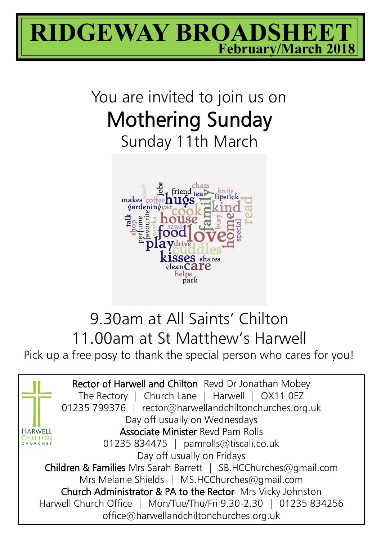

# You are invited to join us on Mothering Sunday Sunday 11th March



## 9.30am at All Saints' Chilton 11.00am at St Matthew's Harwell

Pick up a free posy to thank the special person who cares for you!

Rector of Harwell and Chilton Revd Dr Jonathan Mobey The Rectory | Church Lane | Harwell | OX11 0EZ 01235 799376 | rector@harwellandchiltonchurches.org.uk Day off usually on Wednesdays Associate Minister Revd Pam Rolls **HARWELL** CHILTON 01235 834475 | pamrolls@tiscali.co.uk Day off usually on Fridays Children & Families Mrs Sarah Barrett | SB.HCChurches@gmail.com Mrs Melanie Shields | MS.HCChurches@gmail.com Church Administrator & PA to the Rector Mrs Vicky Johnston Harwell Church Office | Mon/Tue/Thu/Fri 9.30-2.30 | 01235 834256 office@harwellandchiltonchurches.org.uk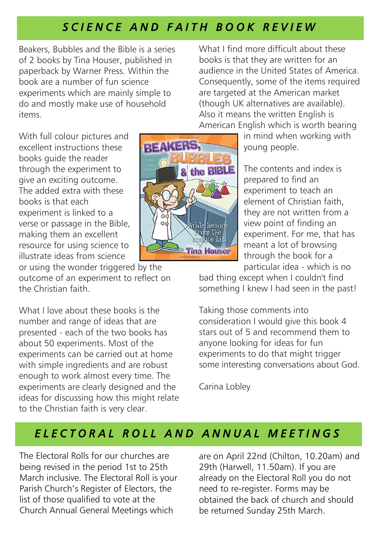### *S C I E N C E A N D F A I T H B O O K R E V I E W*

Beakers, Bubbles and the Bible is a series of 2 books by Tina Houser, published in paperback by Warner Press. Within the book are a number of fun science experiments which are mainly simple to do and mostly make use of household items.

What I find more difficult about these books is that they are written for an audience in the United States of America. Consequently, some of the items required are targeted at the American market (though UK alternatives are available). Also it means the written English is American English which is worth bearing

With full colour pictures and excellent instructions these books guide the reader through the experiment to give an exciting outcome. The added extra with these books is that each experiment is linked to a verse or passage in the Bible, making them an excellent resource for using science to illustrate ideas from science

or using the wonder triggered by the outcome of an experiment to reflect on the Christian faith.

What I love about these books is the number and range of ideas that are presented - each of the two books has about 50 experiments. Most of the experiments can be carried out at home with simple ingredients and are robust enough to work almost every time. The experiments are clearly designed and the ideas for discussing how this might relate to the Christian faith is very clear.



in mind when working with young people.

The contents and index is prepared to find an experiment to teach an element of Christian faith, they are not written from a view point of finding an experiment. For me, that has meant a lot of browsing through the book for a particular idea - which is no

bad thing except when I couldn't find something I knew I had seen in the past!

Taking those comments into consideration I would give this book 4 stars out of 5 and recommend them to anyone looking for ideas for fun experiments to do that might trigger some interesting conversations about God.

Carina Lobley

#### *E L E C T O R A L R O L L A N D A N N U A L M E E T I N G S*

The Electoral Rolls for our churches are being revised in the period 1st to 25th March inclusive. The Electoral Roll is your Parish Church's Register of Electors, the list of those qualified to vote at the Church Annual General Meetings which

are on April 22nd (Chilton, 10.20am) and 29th (Harwell, 11.50am). If you are already on the Electoral Roll you do not need to re-register. Forms may be obtained the back of church and should be returned Sunday 25th March.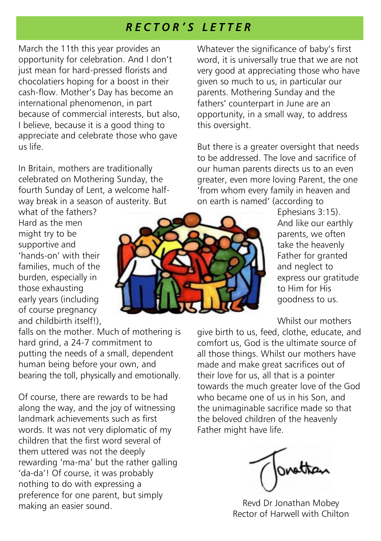#### *R E C T O R ' S L E T T E R*

March the 11th this year provides an opportunity for celebration. And I don't just mean for hard-pressed florists and chocolatiers hoping for a boost in their cash-flow. Mother's Day has become an international phenomenon, in part because of commercial interests, but also, I believe, because it is a good thing to appreciate and celebrate those who gave us life.

In Britain, mothers are traditionally celebrated on Mothering Sunday, the fourth Sunday of Lent, a welcome halfway break in a season of austerity. But

what of the fathers? Hard as the men might try to be supportive and 'hands-on' with their families, much of the burden, especially in those exhausting early years (including of course pregnancy and childbirth itself!),

falls on the mother. Much of mothering is hard grind, a 24-7 commitment to putting the needs of a small, dependent human being before your own, and bearing the toll, physically and emotionally.

Of course, there are rewards to be had along the way, and the joy of witnessing landmark achievements such as first words. It was not very diplomatic of my children that the first word several of them uttered was not the deeply rewarding 'ma-ma' but the rather galling 'da-da'! Of course, it was probably nothing to do with expressing a preference for one parent, but simply making an easier sound.

Whatever the significance of baby's first word, it is universally true that we are not very good at appreciating those who have given so much to us, in particular our parents. Mothering Sunday and the fathers' counterpart in June are an opportunity, in a small way, to address this oversight.

But there is a greater oversight that needs to be addressed. The love and sacrifice of our human parents directs us to an even greater, even more loving Parent, the one 'from whom every family in heaven and on earth is named' (according to

> Ephesians 3:15). And like our earthly parents, we often take the heavenly Father for granted and neglect to express our gratitude to Him for His goodness to us.

Whilst our mothers

give birth to us, feed, clothe, educate, and comfort us, God is the ultimate source of all those things. Whilst our mothers have made and make great sacrifices out of their love for us, all that is a pointer towards the much greater love of the God who became one of us in his Son, and the unimaginable sacrifice made so that the beloved children of the heavenly Father might have life.

ovettan

Revd Dr Jonathan Mobey Rector of Harwell with Chilton

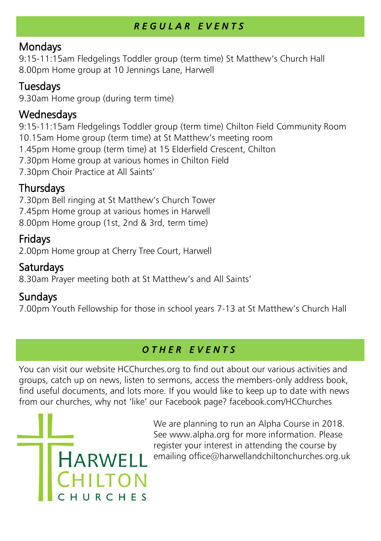#### *R E G U L A R E V E N T S*

#### Mondays

9:15-11:15am Fledgelings Toddler group (term time) St Matthew's Church Hall 8.00pm Home group at 10 Jennings Lane, Harwell

#### Tuesdays

9.30am Home group (during term time)

#### **Wednesdays**

9:15-11:15am Fledgelings Toddler group (term time) Chilton Field Community Room

10.15am Home group (term time) at St Matthew's meeting room

1.45pm Home group (term time) at 15 Elderfield Crescent, Chilton

7.30pm Home group at various homes in Chilton Field

7.30pm Choir Practice at All Saints'

#### Thursdays

7.30pm Bell ringing at St Matthew's Church Tower

7.45pm Home group at various homes in Harwell

8.00pm Home group (1st, 2nd & 3rd, term time)

#### Fridays

2.00pm Home group at Cherry Tree Court, Harwell

#### **Saturdays**

8.30am Prayer meeting both at St Matthew's and All Saints'

#### Sundays

7.00pm Youth Fellowship for those in school years 7-13 at St Matthew's Church Hall

#### *O T H E R E V E N T S*

You can visit our website HCChurches.org to find out about our various activities and groups, catch up on news, listen to sermons, access the members-only address book, find useful documents, and lots more. If you would like to keep up to date with news from our churches, why not 'like' our Facebook page? facebook.com/HCChurches



We are planning to run an Alpha Course in 2018. See www.alpha.org for more information. Please register your interest in attending the course by emailing office@harwellandchiltonchurches.org.uk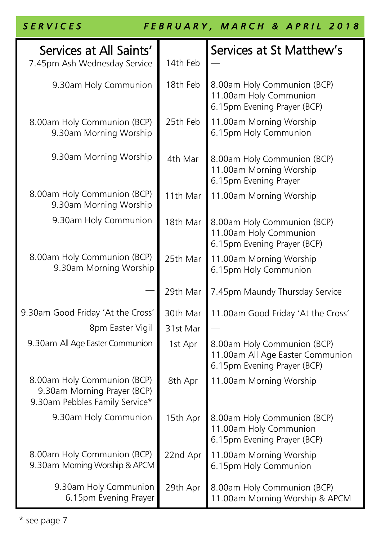| <b>SERVICES</b>                                                                              |          | FEBRUARY, MARCH & APRIL 2018                                                                   |
|----------------------------------------------------------------------------------------------|----------|------------------------------------------------------------------------------------------------|
| Services at All Saints'<br>7.45pm Ash Wednesday Service                                      | 14th Feb | Services at St Matthew's                                                                       |
| 9.30am Holy Communion                                                                        | 18th Feb | 8.00am Holy Communion (BCP)<br>11.00am Holy Communion<br>6.15pm Evening Prayer (BCP)           |
| 8.00am Holy Communion (BCP)<br>9.30am Morning Worship                                        | 25th Feb | 11.00am Morning Worship<br>6.15pm Holy Communion                                               |
| 9.30am Morning Worship                                                                       | 4th Mar  | 8.00am Holy Communion (BCP)<br>11.00am Morning Worship<br>6.15pm Evening Prayer                |
| 8.00am Holy Communion (BCP)<br>9.30am Morning Worship                                        | 11th Mar | 11.00am Morning Worship                                                                        |
| 9.30am Holy Communion                                                                        | 18th Mar | 8.00am Holy Communion (BCP)<br>11.00am Holy Communion<br>6.15pm Evening Prayer (BCP)           |
| 8.00am Holy Communion (BCP)<br>9.30am Morning Worship                                        | 25th Mar | 11.00am Morning Worship<br>6.15pm Holy Communion                                               |
|                                                                                              | 29th Mar | 7.45pm Maundy Thursday Service                                                                 |
| 9.30am Good Friday 'At the Cross'                                                            | 30th Mar | 11.00am Good Friday 'At the Cross'                                                             |
| 8pm Easter Vigil                                                                             | 31st Mar |                                                                                                |
| 9.30am All Age Easter Communion                                                              | 1st Apr  | 8.00am Holy Communion (BCP)<br>11.00am All Age Easter Communion<br>6.15pm Evening Prayer (BCP) |
| 8.00am Holy Communion (BCP)<br>9.30am Morning Prayer (BCP)<br>9.30am Pebbles Family Service* | 8th Apr  | 11.00am Morning Worship                                                                        |
| 9.30am Holy Communion                                                                        | 15th Apr | 8.00am Holy Communion (BCP)<br>11.00am Holy Communion<br>6.15pm Evening Prayer (BCP)           |
| 8.00am Holy Communion (BCP)<br>9.30am Morning Worship & APCM                                 | 22nd Apr | 11.00am Morning Worship<br>6.15pm Holy Communion                                               |
| 9.30am Holy Communion<br>6.15pm Evening Prayer                                               | 29th Apr | 8.00am Holy Communion (BCP)<br>11.00am Morning Worship & APCM                                  |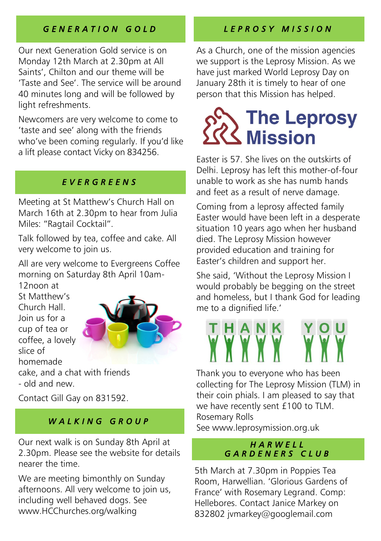#### *G E N E R A T I O N G O L D*

Our next Generation Gold service is on Monday 12th March at 2.30pm at All Saints', Chilton and our theme will be 'Taste and See'. The service will be around 40 minutes long and will be followed by light refreshments.

Newcomers are very welcome to come to 'taste and see' along with the friends who've been coming regularly. If you'd like a lift please contact Vicky on 834256.

#### *E V E R G R E E N S*

Meeting at St Matthew's Church Hall on March 16th at 2.30pm to hear from Julia Miles: "Ragtail Cocktail".

Talk followed by tea, coffee and cake. All very welcome to join us.

All are very welcome to Evergreens Coffee morning on Saturday 8th April 10am-12noon at

St Matthew's Church Hall. Join us for a cup of tea or coffee, a lovely slice of homemade cake, and a chat with friends - old and new.



Contact Gill Gay on 831592.

#### *W A L K I N G G R O U P*

Our next walk is on Sunday 8th April at 2.30pm. Please see the website for details nearer the time.

We are meeting bimonthly on Sunday afternoons. All very welcome to join us, including well behaved dogs. See www.HCChurches.org/walking

#### *L E P R O S Y M I S S I O N*

As a Church, one of the mission agencies we support is the Leprosy Mission. As we have just marked World Leprosy Day on January 28th it is timely to hear of one person that this Mission has helped.

# **The Leprosy**<br>Mission

Easter is 57. She lives on the outskirts of Delhi. Leprosy has left this mother-of-four unable to work as she has numb hands and feet as a result of nerve damage.

Coming from a leprosy affected family Easter would have been left in a desperate situation 10 years ago when her husband died. The Leprosy Mission however provided education and training for Easter's children and support her.

She said, 'Without the Leprosy Mission I would probably be begging on the street and homeless, but I thank God for leading me to a dignified life.'

Thank you to everyone who has been collecting for The Leprosy Mission (TLM) in their coin phials. I am pleased to say that we have recently sent £100 to TLM. Rosemary Rolls See www.leprosymission.org.uk

#### *H A R W E L L G A R D E N E R S C L U B*

5th March at 7.30pm in Poppies Tea Room, Harwellian. 'Glorious Gardens of France' with Rosemary Legrand. Comp: Hellebores. Contact Janice Markey on 832802 jvmarkey@googlemail.com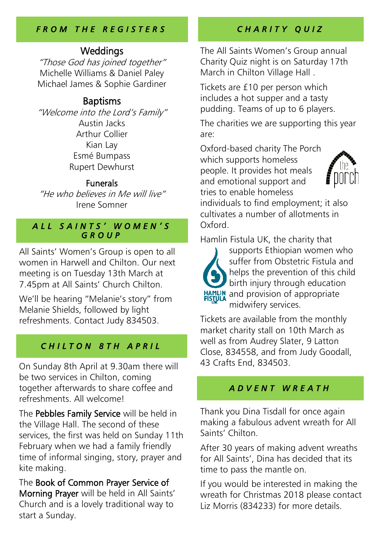#### *F R O M T H E R E G I S T E R S*

#### Weddings

"Those God has joined together" Michelle Williams & Daniel Paley Michael James & Sophie Gardiner

#### **Baptisms**

"Welcome into the Lord's Family" Austin Jacks Arthur Collier Kian Lay Esmé Bumpass Rupert Dewhurst

#### Funerals

"He who believes in Me will live" Irene Somner

#### *A L L S A I N T S ' W O M E N ' S G R O U P*

All Saints' Women's Group is open to all women in Harwell and Chilton. Our next meeting is on Tuesday 13th March at 7.45pm at All Saints' Church Chilton.

We'll be hearing "Melanie's story" from Melanie Shields, followed by light refreshments. Contact Judy 834503.

#### *C H I L T O N 8 T H A P R I L*

On Sunday 8th April at 9.30am there will be two services in Chilton, coming together afterwards to share coffee and refreshments. All welcome!

The Pebbles Family Service will be held in the Village Hall. The second of these services, the first was held on Sunday 11th February when we had a family friendly time of informal singing, story, prayer and kite making.

The Book of Common Prayer Service of Morning Prayer will be held in All Saints' Church and is a lovely traditional way to start a Sunday.

#### *C H A R I T Y Q U I Z*

The All Saints Women's Group annual Charity Quiz night is on Saturday 17th March in Chilton Village Hall .

Tickets are £10 per person which includes a hot supper and a tasty pudding. Teams of up to 6 players.

The charities we are supporting this year are:

Oxford-based charity The Porch which supports homeless people. It provides hot meals and emotional support and tries to enable homeless



individuals to find employment; it also cultivates a number of allotments in Oxford.

Hamlin Fistula UK, the charity that



supports Ethiopian women who suffer from Obstetric Fistula and helps the prevention of this child birth injury through education HAMLIN and provision of appropriate midwifery services.

Tickets are available from the monthly market charity stall on 10th March as well as from Audrey Slater, 9 Latton Close, 834558, and from Judy Goodall, 43 Crafts End, 834503.

#### *A D V E N T W R E A T H*

Thank you Dina Tisdall for once again making a fabulous advent wreath for All Saints' Chilton.

After 30 years of making advent wreaths for All Saints', Dina has decided that its time to pass the mantle on.

If you would be interested in making the wreath for Christmas 2018 please contact Liz Morris (834233) for more details.